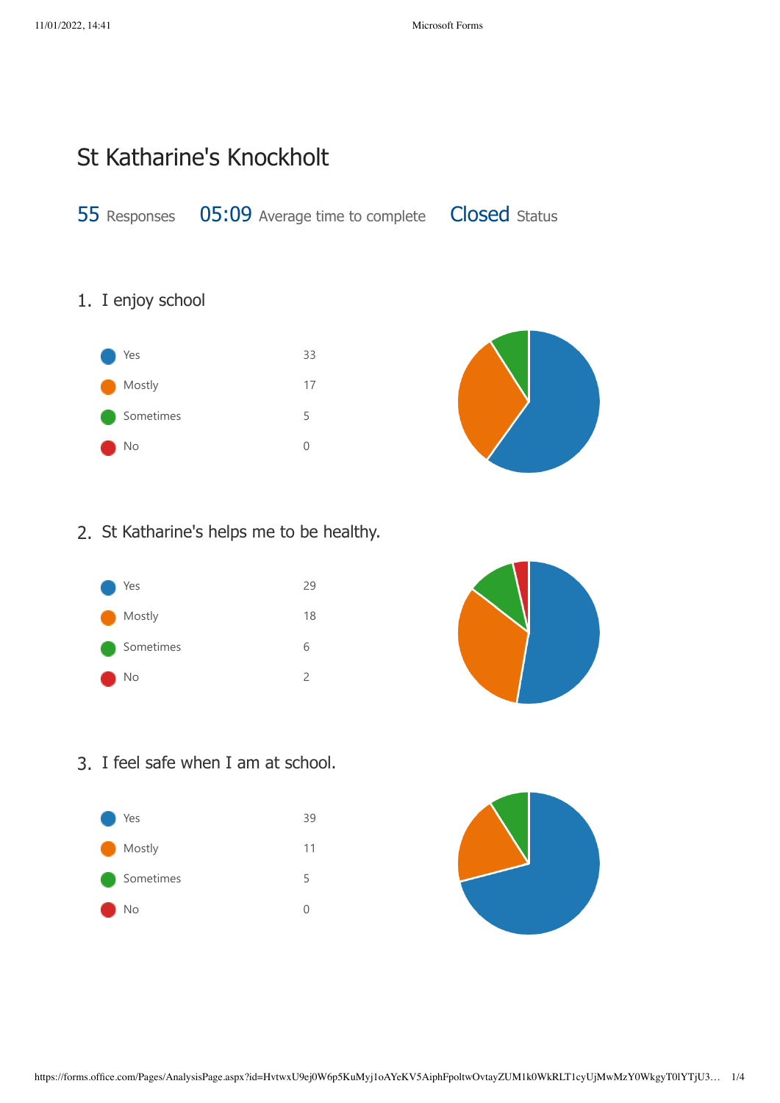# St Katharine's Knockholt

55 Responses 05:09 Average time to complete Closed Status

### 1. I enjoy school





2. St Katharine's helps me to be healthy.





3. I feel safe when I am at school.



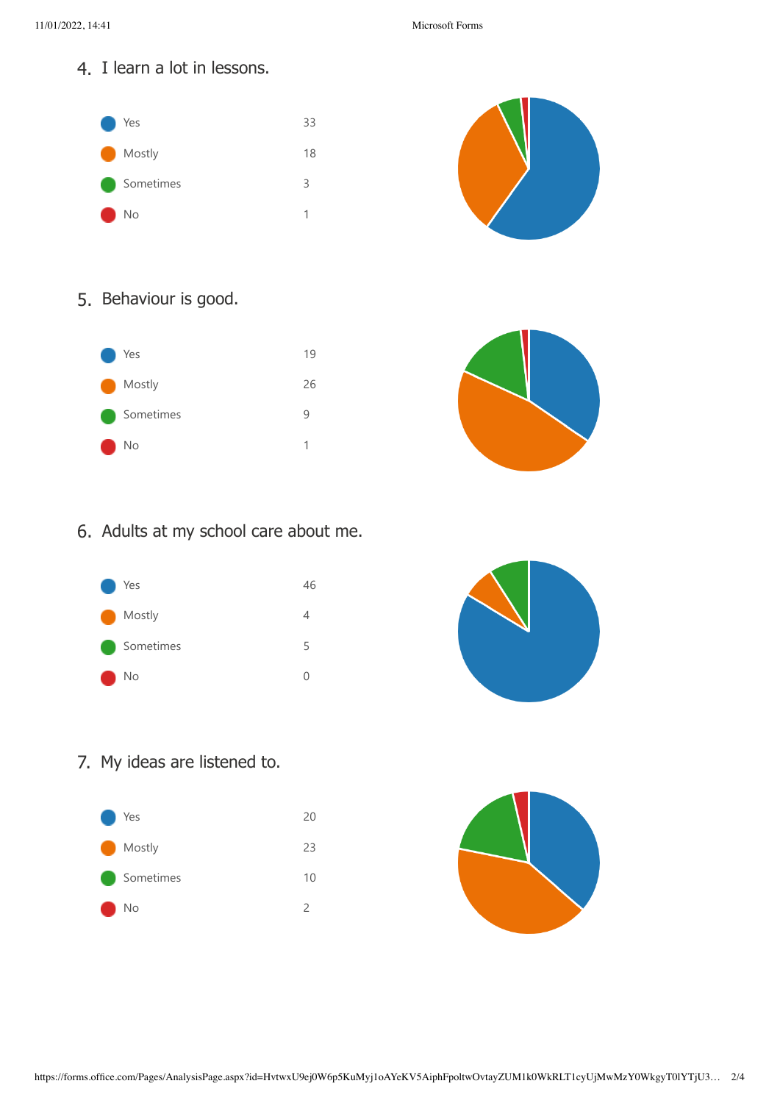4. I learn a lot in lessons.





### 5. Behaviour is good.





### 6. Adults at my school care about me.





## 7. My ideas are listened to.



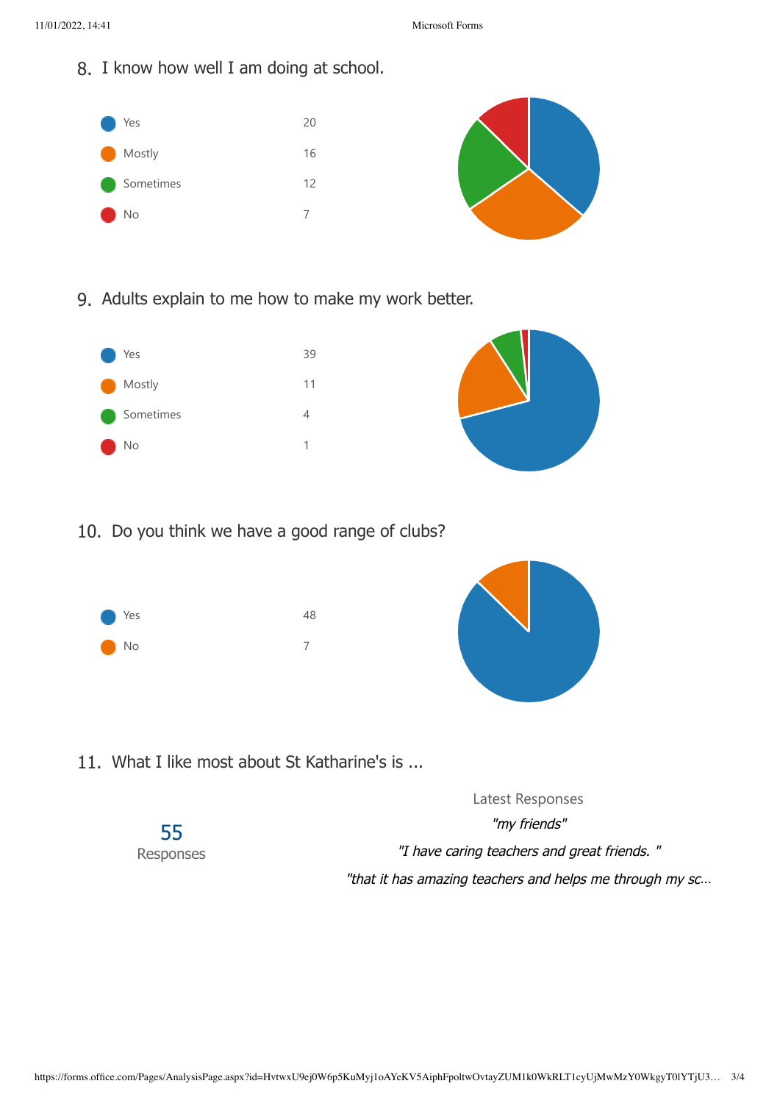8. I know how well I am doing at school.



9. Adults explain to me how to make my work better.



10. Do you think we have a good range of clubs?





11. What I like most about St Katharine's is ...

Latest Responses "my friends" "I have caring teachers and great friends. " "that it has amazing teachers and helps me through my sc… 55 Responses